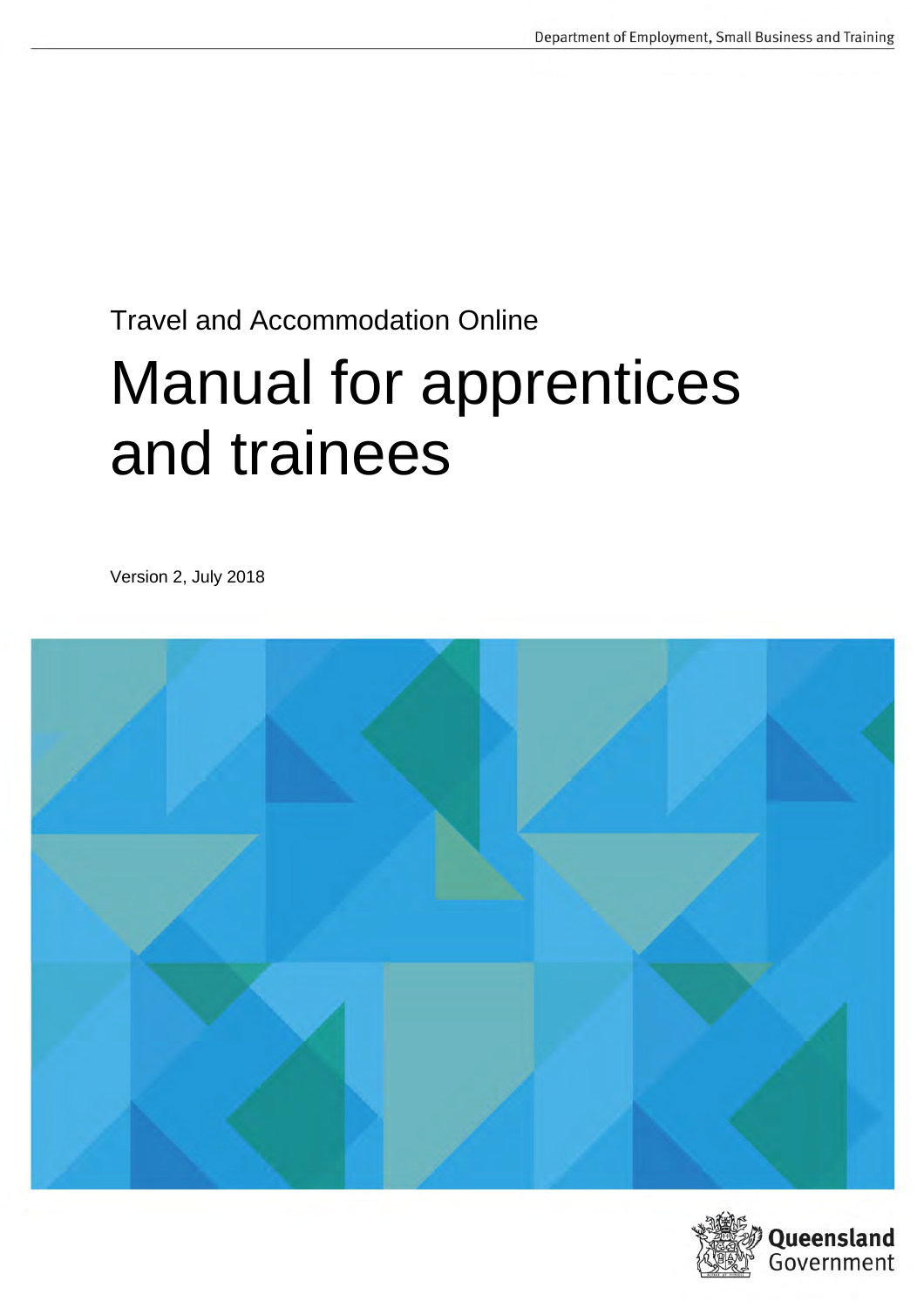# Travel and Accommodation Online Manual for apprentices and trainees

Version 2, July 2018



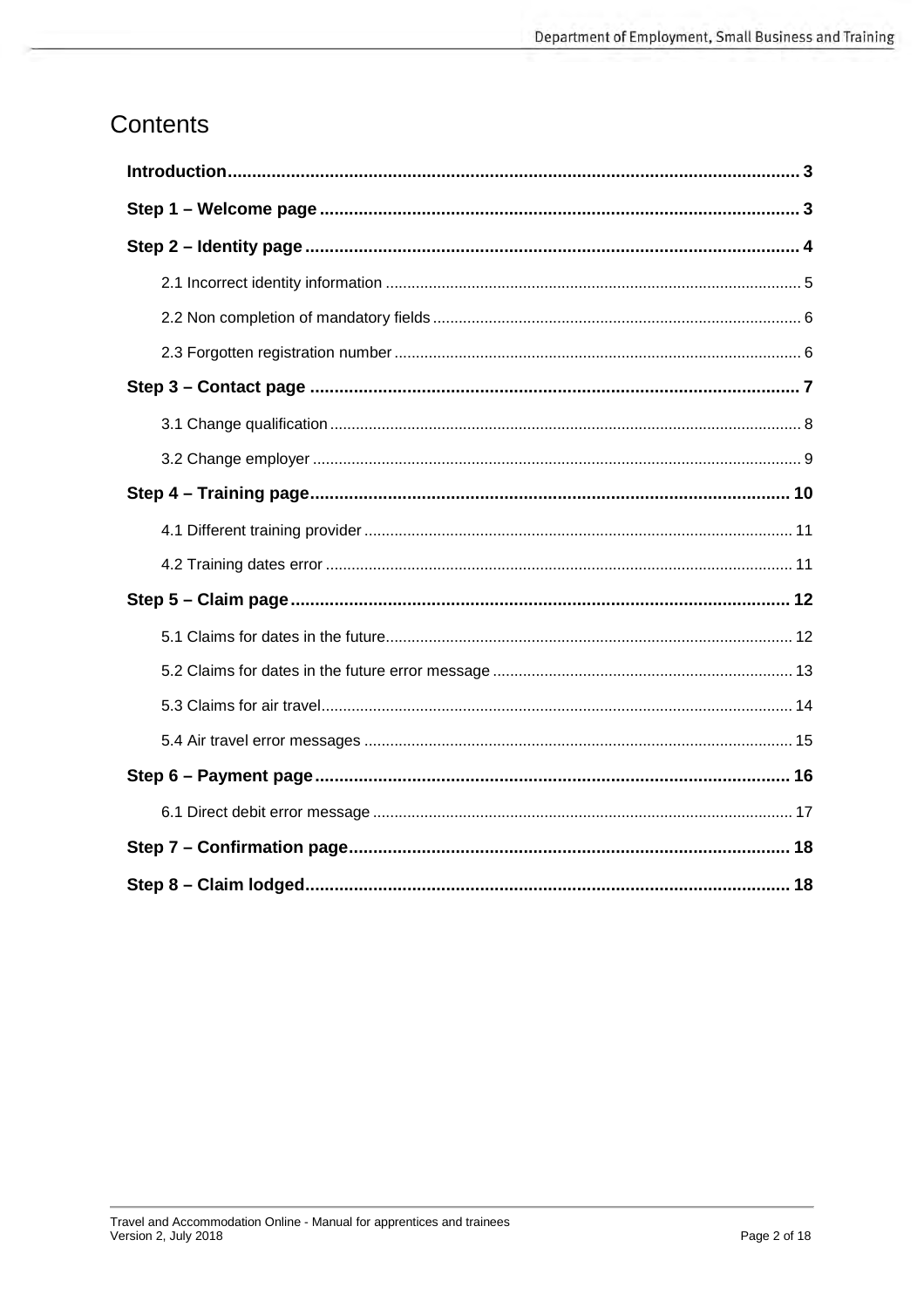## Contents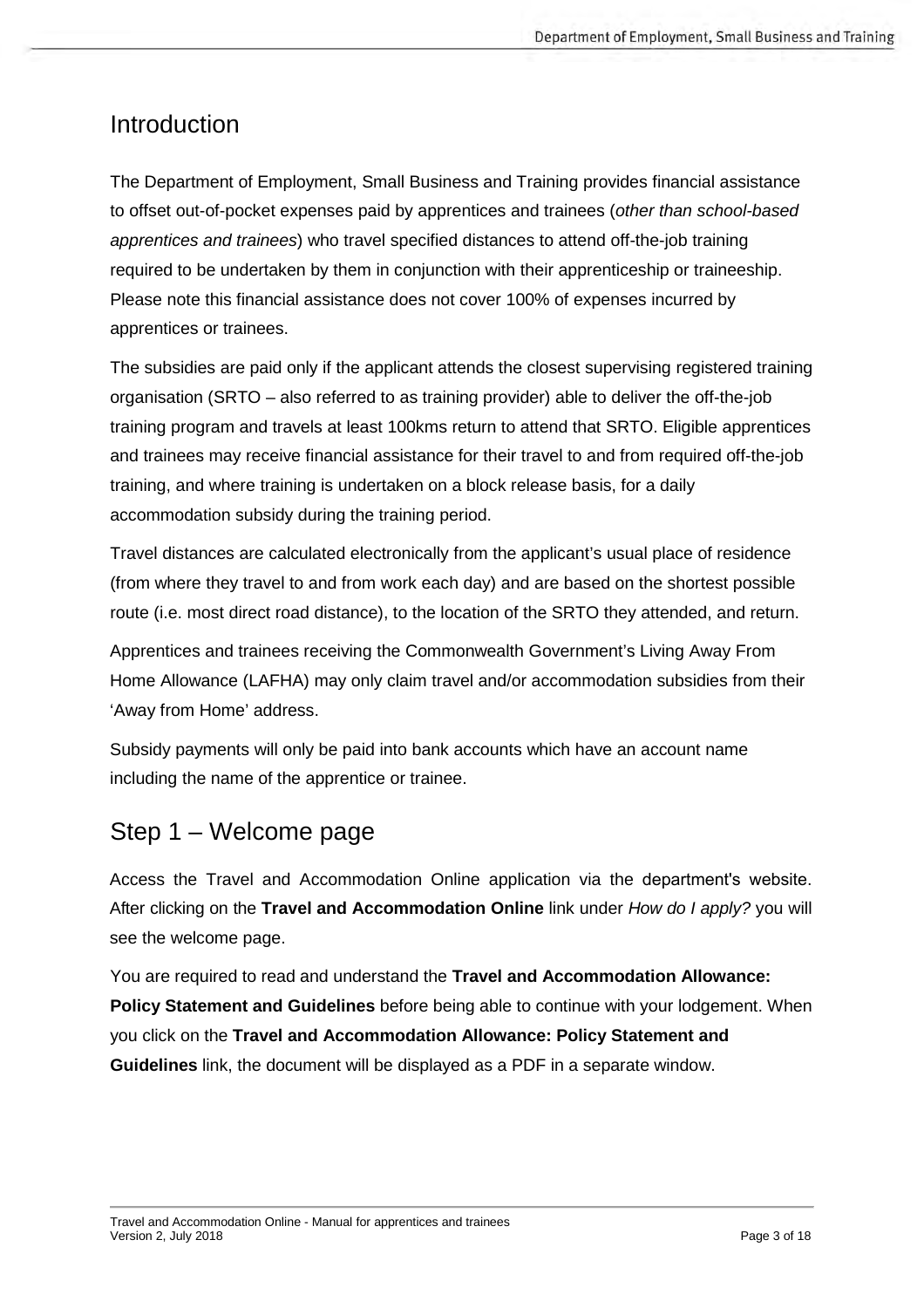## <span id="page-2-0"></span>Introduction

The Department of Employment, Small Business and Training provides financial assistance to offset out-of-pocket expenses paid by apprentices and trainees (*other than school-based apprentices and trainees*) who travel specified distances to attend off-the-job training required to be undertaken by them in conjunction with their apprenticeship or traineeship. Please note this financial assistance does not cover 100% of expenses incurred by apprentices or trainees.

The subsidies are paid only if the applicant attends the closest supervising registered training organisation (SRTO – also referred to as training provider) able to deliver the off-the-job training program and travels at least 100kms return to attend that SRTO. Eligible apprentices and trainees may receive financial assistance for their travel to and from required off-the-job training, and where training is undertaken on a block release basis, for a daily accommodation subsidy during the training period.

Travel distances are calculated electronically from the applicant's usual place of residence (from where they travel to and from work each day) and are based on the shortest possible route (i.e. most direct road distance), to the location of the SRTO they attended, and return.

Apprentices and trainees receiving the Commonwealth Government's Living Away From Home Allowance (LAFHA) may only claim travel and/or accommodation subsidies from their 'Away from Home' address.

Subsidy payments will only be paid into bank accounts which have an account name including the name of the apprentice or trainee.

## <span id="page-2-1"></span>Step 1 – Welcome page

Access the Travel and Accommodation Online application via the [department's website](https://desbt.qld.gov.au/training/apprentices/incentives/travel-accommodation). After clicking on the **Travel and Accommodation Online** link under *How do I apply?* you will see the welcome page.

You are required to read and understand the **Travel and Accommodation Allowance: Policy Statement and Guidelines** before being able to continue with your lodgement. When you click on the **Travel and Accommodation Allowance: Policy Statement and Guidelines** link, the document will be displayed as a PDF in a separate window.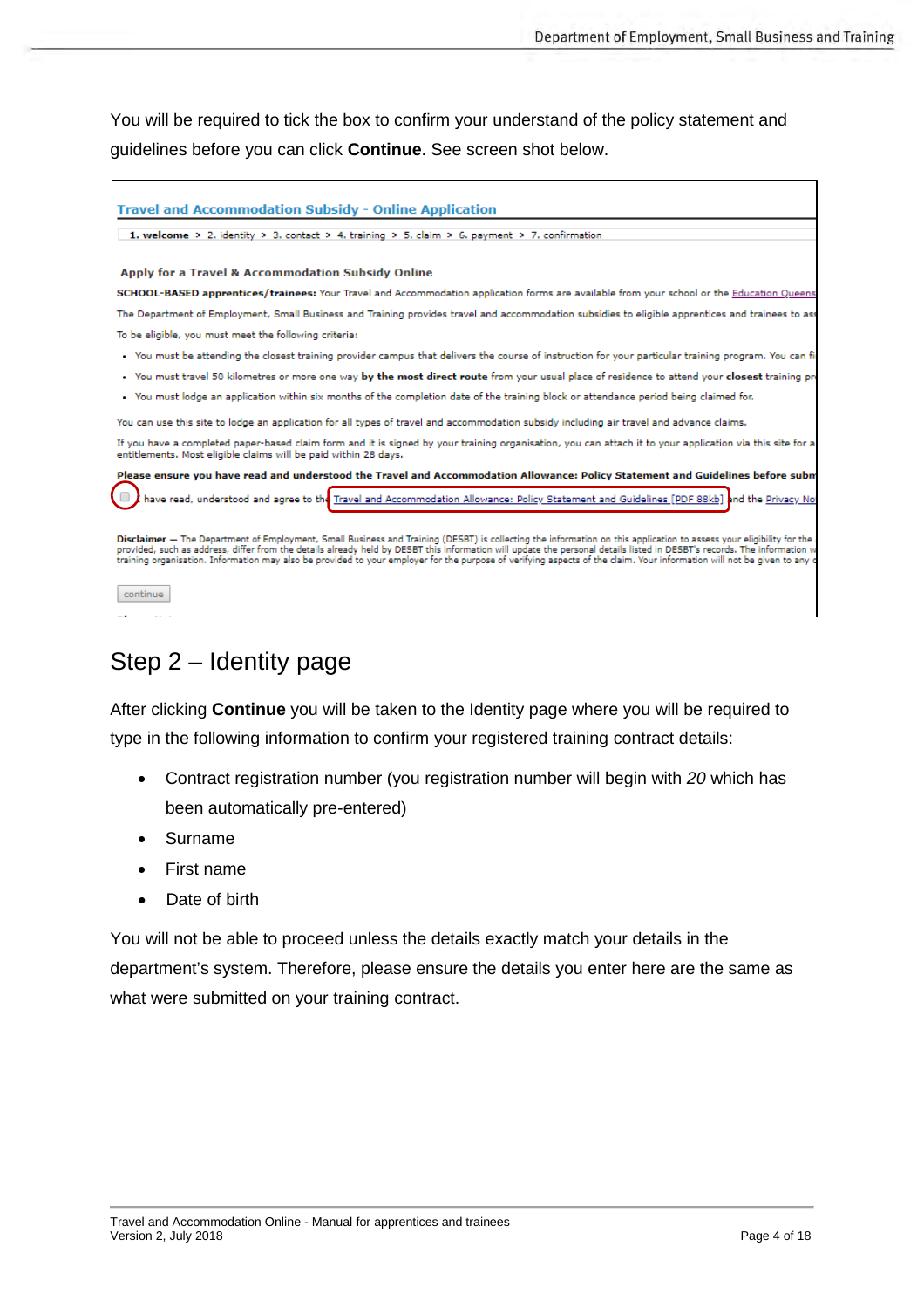You will be required to tick the box to confirm your understand of the policy statement and guidelines before you can click **Continue**. See screen shot below.

| <b>Travel and Accommodation Subsidy - Online Application</b>                                                                                                                                                                                                                                                                                                                                                                                                                                                              |
|---------------------------------------------------------------------------------------------------------------------------------------------------------------------------------------------------------------------------------------------------------------------------------------------------------------------------------------------------------------------------------------------------------------------------------------------------------------------------------------------------------------------------|
| <b>1.</b> welcome > 2. identity > 3. contact > 4. training > 5. claim > 6. payment > 7. confirmation                                                                                                                                                                                                                                                                                                                                                                                                                      |
|                                                                                                                                                                                                                                                                                                                                                                                                                                                                                                                           |
| <b>Apply for a Travel &amp; Accommodation Subsidy Online</b>                                                                                                                                                                                                                                                                                                                                                                                                                                                              |
| SCHOOL-BASED apprentices/trainees: Your Travel and Accommodation application forms are available from your school or the Education Oueens                                                                                                                                                                                                                                                                                                                                                                                 |
| The Department of Employment, Small Business and Training provides travel and accommodation subsidies to eligible apprentices and trainees to ass                                                                                                                                                                                                                                                                                                                                                                         |
| To be eligible, you must meet the following criteria:                                                                                                                                                                                                                                                                                                                                                                                                                                                                     |
| . You must be attending the closest training provider campus that delivers the course of instruction for your particular training program. You can fir                                                                                                                                                                                                                                                                                                                                                                    |
| • You must travel 50 kilometres or more one way by the most direct route from your usual place of residence to attend your closest training pro                                                                                                                                                                                                                                                                                                                                                                           |
| • You must lodge an application within six months of the completion date of the training block or attendance period being claimed for.                                                                                                                                                                                                                                                                                                                                                                                    |
| You can use this site to lodge an application for all types of travel and accommodation subsidy including air travel and advance claims.                                                                                                                                                                                                                                                                                                                                                                                  |
| If you have a completed paper-based claim form and it is signed by your training organisation, you can attach it to your application via this site for a<br>entitlements. Most eligible claims will be paid within 28 days.                                                                                                                                                                                                                                                                                               |
| Please ensure you have read and understood the Travel and Accommodation Allowance: Policy Statement and Guidelines before subm                                                                                                                                                                                                                                                                                                                                                                                            |
| have read, understood and agree to the Travel and Accommodation Allowance: Policy Statement and Guidelines [PDF 88kb] and the Privacy No                                                                                                                                                                                                                                                                                                                                                                                  |
|                                                                                                                                                                                                                                                                                                                                                                                                                                                                                                                           |
| Disclaimer - The Department of Employment, Small Business and Training (DESBT) is collecting the information on this application to assess your eligibility for the<br>provided, such as address, differ from the details already held by DESBT this information will update the personal details listed in DESBT's records. The information w<br>training organisation. Information may also be provided to your employer for the purpose of yerifying aspects of the claim. Your information will not be given to any o |
| continue                                                                                                                                                                                                                                                                                                                                                                                                                                                                                                                  |

## <span id="page-3-0"></span>Step 2 – Identity page

After clicking **Continue** you will be taken to the Identity page where you will be required to type in the following information to confirm your registered training contract details:

- Contract registration number (you registration number will begin with *20* which has been automatically pre-entered)
- Surname
- First name
- Date of birth

You will not be able to proceed unless the details exactly match your details in the department's system. Therefore, please ensure the details you enter here are the same as what were submitted on your training contract.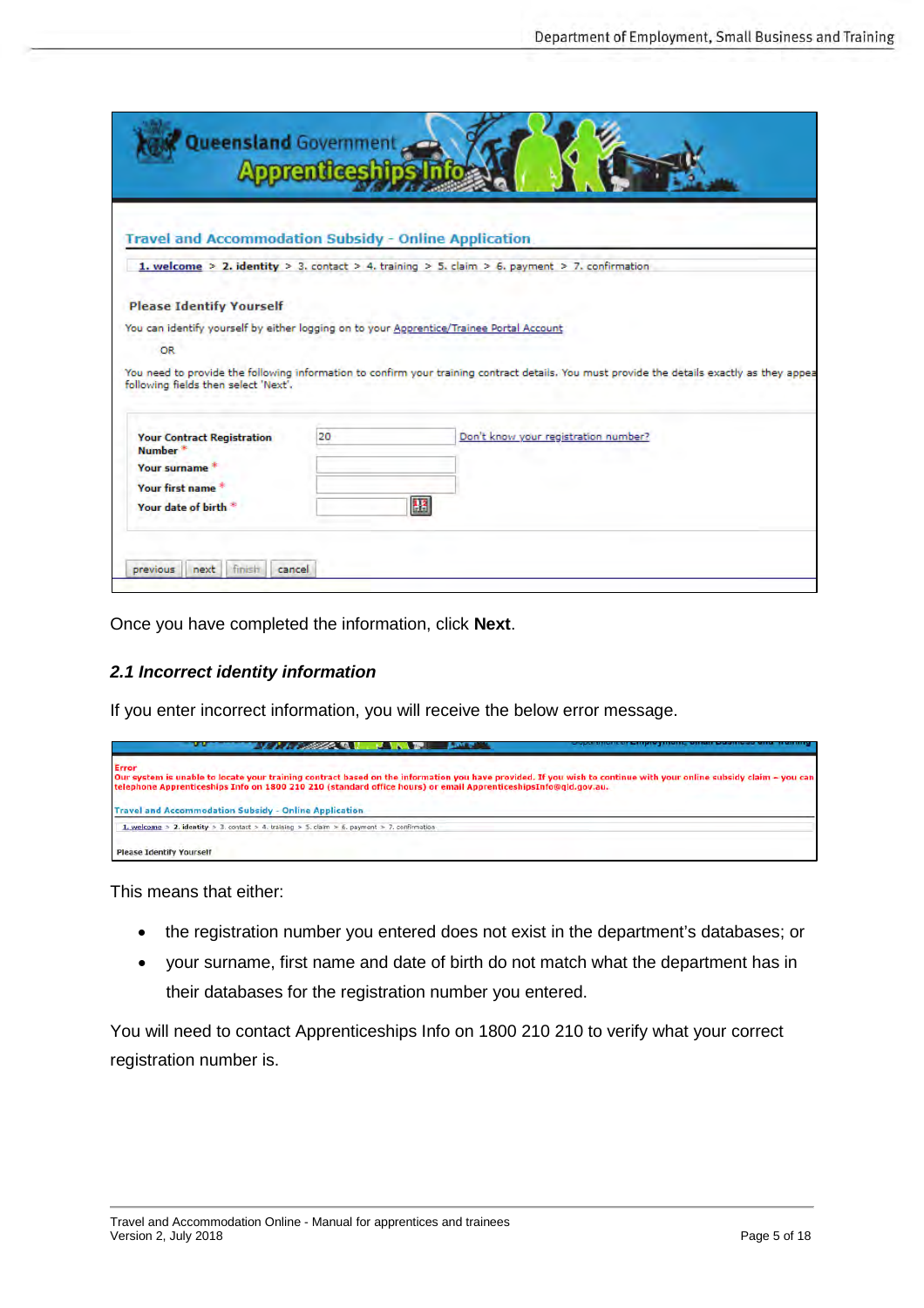| <b>Queensland Government</b>                                                                                          | aaren heeshin |                                                                                                                                                                                                                                         |
|-----------------------------------------------------------------------------------------------------------------------|---------------|-----------------------------------------------------------------------------------------------------------------------------------------------------------------------------------------------------------------------------------------|
| Travel and Accommodation Subsidy - Online Application                                                                 |               |                                                                                                                                                                                                                                         |
|                                                                                                                       |               | 1. welcome > 2. identity > 3. contact > 4. training > 5. claim > 6. payment > 7. confirmation                                                                                                                                           |
| <b>Please Identify Yourself</b><br>OR.<br>following fields then select 'Next',                                        |               | You can identify yourself by either logging on to your Apprentice/Trainee Portal Account<br>You need to provide the following information to confirm your training contract details. You must provide the details exactly as they appea |
| <b>Your Contract Registration</b><br>Number <sup>*</sup><br>Your surname *<br>Your first name<br>Your date of birth.* | 20            | Don't know your registration number?<br>BB                                                                                                                                                                                              |
| finish<br>next<br>previous                                                                                            | cancel        |                                                                                                                                                                                                                                         |

Once you have completed the information, click **Next**.

#### <span id="page-4-0"></span>*2.1 Incorrect identity information*

If you enter incorrect information, you will receive the below error message.



This means that either:

- the registration number you entered does not exist in the department's databases; or
- your surname, first name and date of birth do not match what the department has in their databases for the registration number you entered.

You will need to contact Apprenticeships Info on 1800 210 210 to verify what your correct registration number is.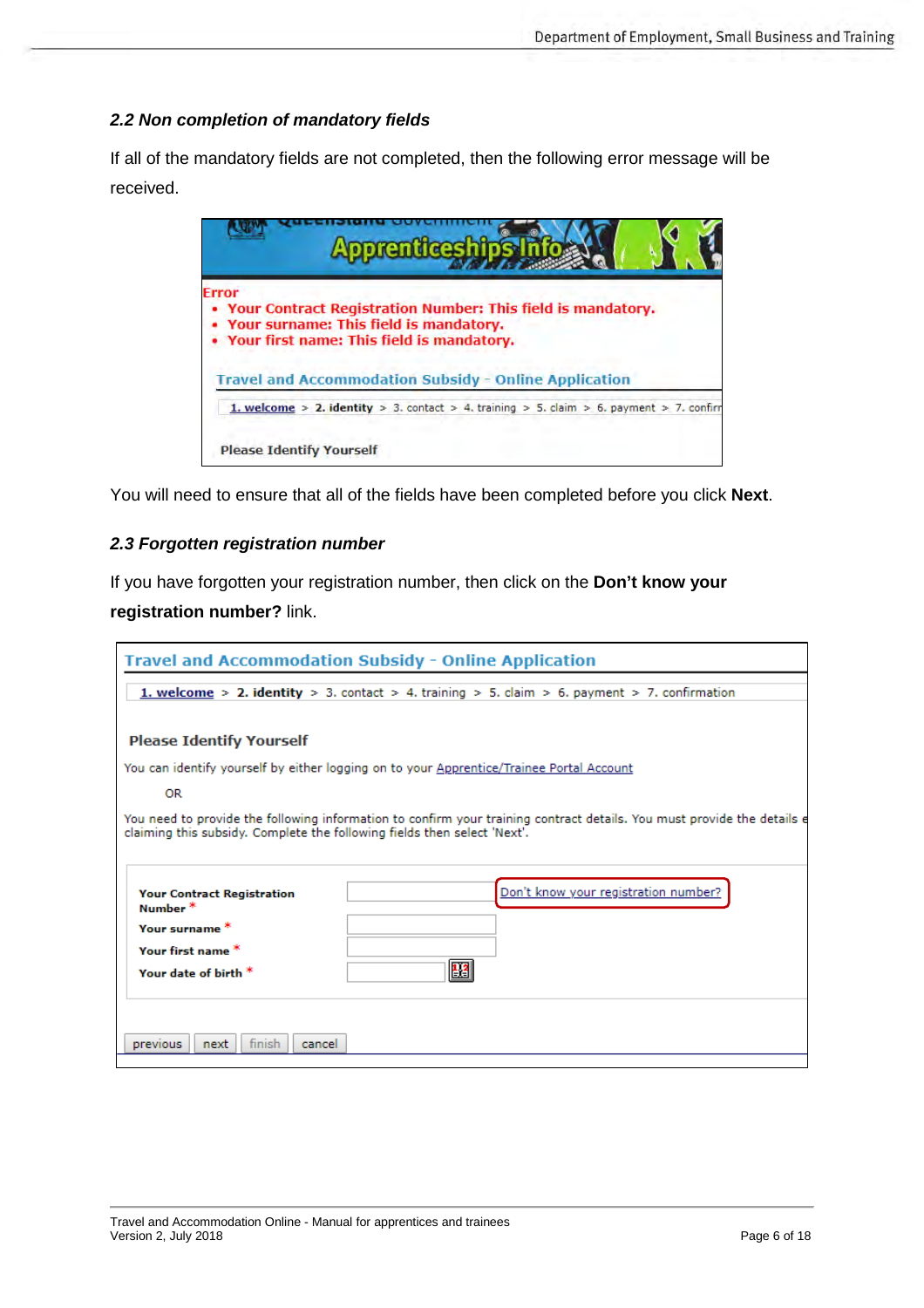#### <span id="page-5-0"></span>*2.2 Non completion of mandatory fields*

If all of the mandatory fields are not completed, then the following error message will be received.



You will need to ensure that all of the fields have been completed before you click **Next**.

#### <span id="page-5-1"></span>*2.3 Forgotten registration number*

If you have forgotten your registration number, then click on the **Don't know your registration number?** link.

|                                                                          | <b>Travel and Accommodation Subsidy - Online Application</b>                                                            |
|--------------------------------------------------------------------------|-------------------------------------------------------------------------------------------------------------------------|
|                                                                          | <b>1. welcome &gt; 2. identity &gt; 3.</b> contact > 4. training > 5. claim > 6. payment > 7. confirmation              |
|                                                                          |                                                                                                                         |
| <b>Please Identify Yourself</b>                                          |                                                                                                                         |
|                                                                          | You can identify yourself by either logging on to your Apprentice/Trainee Portal Account                                |
| <b>OR</b>                                                                |                                                                                                                         |
| claiming this subsidy. Complete the following fields then select 'Next'. | You need to provide the following information to confirm your training contract details. You must provide the details e |
|                                                                          |                                                                                                                         |
| <b>Your Contract Registration</b><br>Number*                             | Don't know your registration number?                                                                                    |
| Your surname *                                                           |                                                                                                                         |
| Your first name *                                                        |                                                                                                                         |
| Your date of birth $*$                                                   | <b>B3</b>                                                                                                               |
|                                                                          |                                                                                                                         |
| finish<br>previous<br>cancel<br>next                                     |                                                                                                                         |
|                                                                          |                                                                                                                         |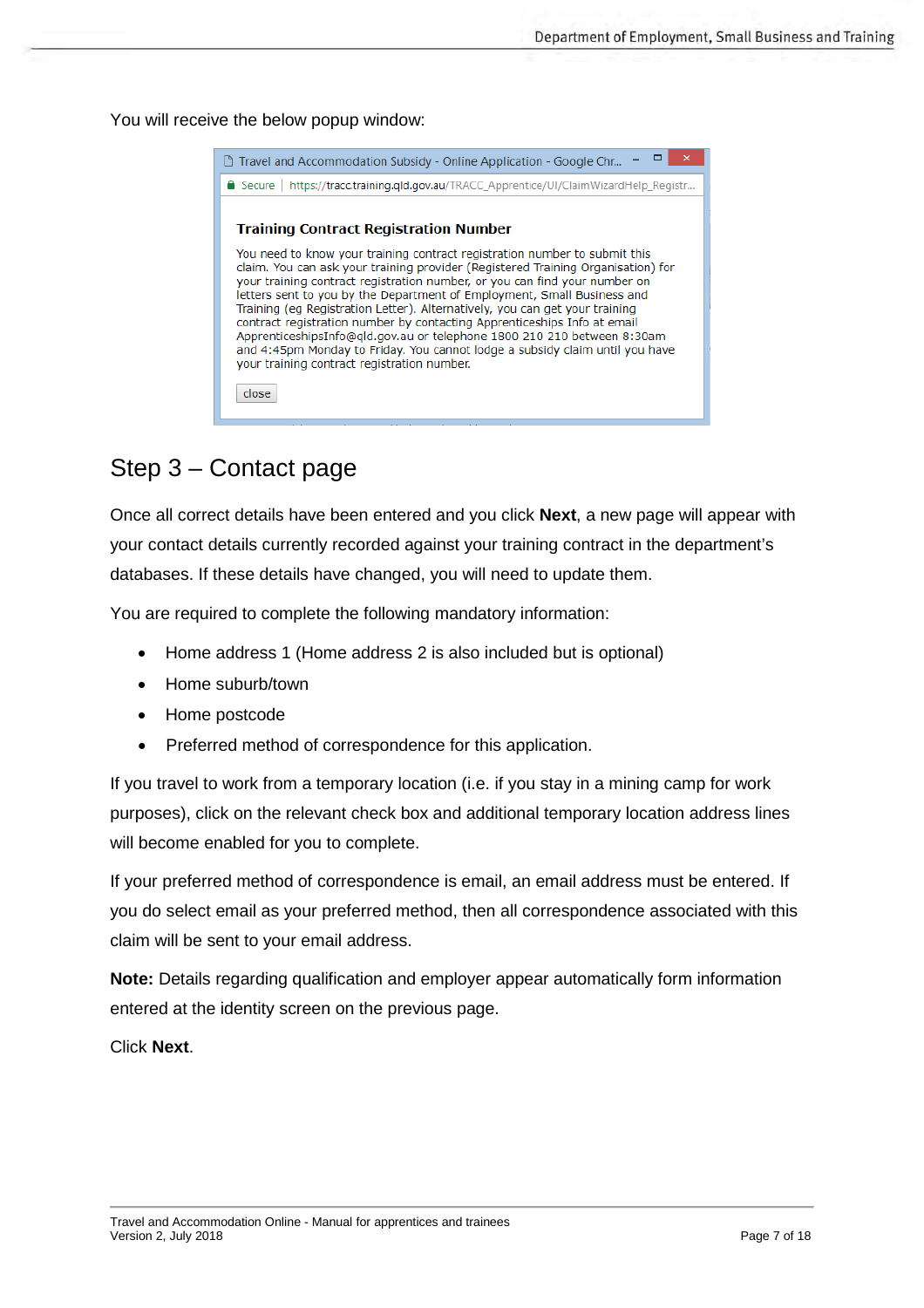You will receive the below popup window:

| □ Travel and Accommodation Subsidy - Online Application - Google Chr                                                                                                                                                                                                                                                                                                                                                                                                                                                                                                                                                                                                                                                                         |
|----------------------------------------------------------------------------------------------------------------------------------------------------------------------------------------------------------------------------------------------------------------------------------------------------------------------------------------------------------------------------------------------------------------------------------------------------------------------------------------------------------------------------------------------------------------------------------------------------------------------------------------------------------------------------------------------------------------------------------------------|
| https://tracc.training.gld.gov.au/TRACC_Apprentice/UI/ClaimWizardHelp_Registr<br>$\blacksquare$ Secure                                                                                                                                                                                                                                                                                                                                                                                                                                                                                                                                                                                                                                       |
| <b>Training Contract Registration Number</b><br>You need to know your training contract registration number to submit this<br>claim. You can ask your training provider (Registered Training Organisation) for<br>your training contract registration number, or you can find your number on<br>letters sent to you by the Department of Employment, Small Business and<br>Training (eg Registration Letter). Alternatively, you can get your training<br>contract registration number by contacting Apprenticeships Info at email<br>ApprenticeshipsInfo@gld.gov.au or telephone 1800 210 210 between 8:30am<br>and 4:45pm Monday to Friday. You cannot lodge a subsidy claim until you have<br>your training contract registration number. |
| close                                                                                                                                                                                                                                                                                                                                                                                                                                                                                                                                                                                                                                                                                                                                        |

## <span id="page-6-0"></span>Step 3 – Contact page

Once all correct details have been entered and you click **Next**, a new page will appear with your contact details currently recorded against your training contract in the department's databases. If these details have changed, you will need to update them.

You are required to complete the following mandatory information:

- Home address 1 (Home address 2 is also included but is optional)
- Home suburb/town
- Home postcode
- Preferred method of correspondence for this application.

If you travel to work from a temporary location (i.e. if you stay in a mining camp for work purposes), click on the relevant check box and additional temporary location address lines will become enabled for you to complete.

If your preferred method of correspondence is email, an email address must be entered. If you do select email as your preferred method, then all correspondence associated with this claim will be sent to your email address.

**Note:** Details regarding qualification and employer appear automatically form information entered at the identity screen on the previous page.

Click **Next**.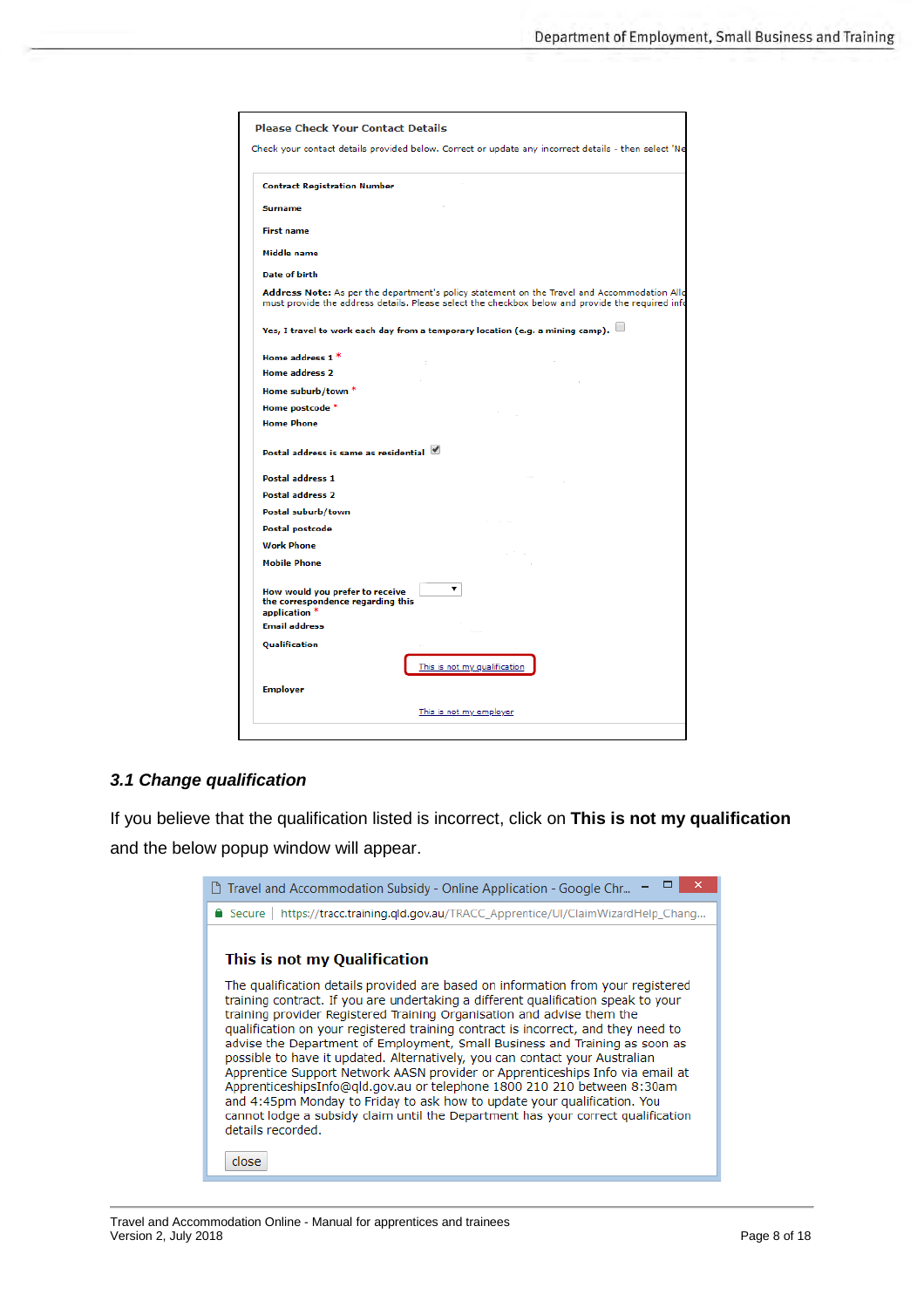|                                                                                       | Check your contact details provided below. Correct or update any incorrect details - then select 'Ne                                                                                                                                                                                     |
|---------------------------------------------------------------------------------------|------------------------------------------------------------------------------------------------------------------------------------------------------------------------------------------------------------------------------------------------------------------------------------------|
| <b>Contract Registration Number</b>                                                   |                                                                                                                                                                                                                                                                                          |
| <b>Surname</b>                                                                        |                                                                                                                                                                                                                                                                                          |
| <b>First name</b>                                                                     |                                                                                                                                                                                                                                                                                          |
| Middle name                                                                           |                                                                                                                                                                                                                                                                                          |
| Date of birth                                                                         |                                                                                                                                                                                                                                                                                          |
|                                                                                       | Address Note: As per the department's policy statement on the Travel and Accommodation Allo<br>must provide the address details. Please select the checkbox below and provide the required info<br>Yes, I travel to work each day from a temporary location (e.g. a mining camp). $\Box$ |
| Home address 1 $*$                                                                    |                                                                                                                                                                                                                                                                                          |
| <b>Home address 2</b>                                                                 |                                                                                                                                                                                                                                                                                          |
| Home suburb/town *                                                                    |                                                                                                                                                                                                                                                                                          |
| Home postcode *                                                                       |                                                                                                                                                                                                                                                                                          |
| <b>Home Phone</b>                                                                     |                                                                                                                                                                                                                                                                                          |
| Postal address is same as residential<br>Postal address 1                             |                                                                                                                                                                                                                                                                                          |
| Postal address 2                                                                      |                                                                                                                                                                                                                                                                                          |
| Postal suburb/town                                                                    |                                                                                                                                                                                                                                                                                          |
| Postal postcode                                                                       |                                                                                                                                                                                                                                                                                          |
| <b>Work Phone</b>                                                                     |                                                                                                                                                                                                                                                                                          |
| <b>Mobile Phone</b>                                                                   |                                                                                                                                                                                                                                                                                          |
| How would you prefer to receive<br>the correspondence regarding this<br>application * | ▼                                                                                                                                                                                                                                                                                        |
| <b>Email address</b>                                                                  |                                                                                                                                                                                                                                                                                          |
| Qualification                                                                         |                                                                                                                                                                                                                                                                                          |
|                                                                                       | This is not my qualification                                                                                                                                                                                                                                                             |
| <b>Employer</b>                                                                       |                                                                                                                                                                                                                                                                                          |
|                                                                                       |                                                                                                                                                                                                                                                                                          |

#### <span id="page-7-0"></span>*3.1 Change qualification*

If you believe that the qualification listed is incorrect, click on **This is not my qualification** and the below popup window will appear.

| Travel and Accommodation Subsidy - Online Application - Google Chr                                                                                                                                                                                                                                                                                                                                                                                                                                                                                                                                                                                                                                                                                                                                                                                                                  |
|-------------------------------------------------------------------------------------------------------------------------------------------------------------------------------------------------------------------------------------------------------------------------------------------------------------------------------------------------------------------------------------------------------------------------------------------------------------------------------------------------------------------------------------------------------------------------------------------------------------------------------------------------------------------------------------------------------------------------------------------------------------------------------------------------------------------------------------------------------------------------------------|
| https://tracc.training.qld.gov.au/TRACC_Apprentice/UI/ClaimWizardHelp_Chang<br>$\blacksquare$ Secure                                                                                                                                                                                                                                                                                                                                                                                                                                                                                                                                                                                                                                                                                                                                                                                |
| This is not my Qualification<br>The qualification details provided are based on information from your registered<br>training contract. If you are undertaking a different qualification speak to your<br>training provider Registered Training Organisation and advise them the<br>qualification on your registered training contract is incorrect, and they need to<br>advise the Department of Employment, Small Business and Training as soon as<br>possible to have it updated. Alternatively, you can contact your Australian<br>Apprentice Support Network AASN provider or Apprenticeships Info via email at<br>ApprenticeshipsInfo@qld.gov.au or telephone 1800 210 210 between 8:30am<br>and 4:45pm Monday to Friday to ask how to update your qualification. You<br>cannot lodge a subsidy claim until the Department has your correct qualification<br>details recorded. |
| close                                                                                                                                                                                                                                                                                                                                                                                                                                                                                                                                                                                                                                                                                                                                                                                                                                                                               |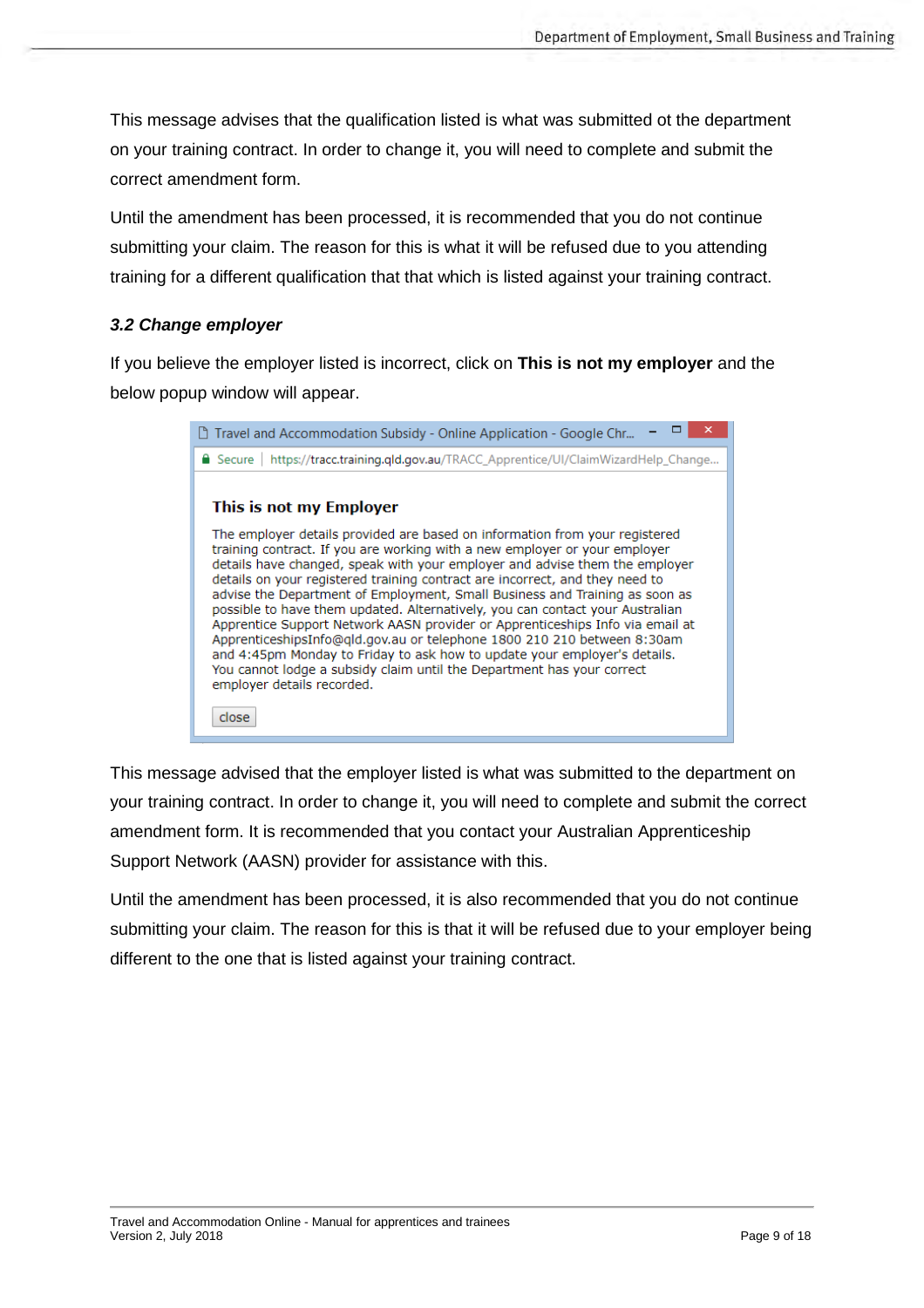This message advises that the qualification listed is what was submitted ot the department on your training contract. In order to change it, you will need to complete and submit the correct amendment form.

Until the amendment has been processed, it is recommended that you do not continue submitting your claim. The reason for this is what it will be refused due to you attending training for a different qualification that that which is listed against your training contract.

#### <span id="page-8-0"></span>*3.2 Change employer*

If you believe the employer listed is incorrect, click on **This is not my employer** and the below popup window will appear.

This message advised that the employer listed is what was submitted to the department on your training contract. In order to change it, you will need to complete and submit the correct amendment form. It is recommended that you contact your Australian Apprenticeship Support Network (AASN) provider for assistance with this.

Until the amendment has been processed, it is also recommended that you do not continue submitting your claim. The reason for this is that it will be refused due to your employer being different to the one that is listed against your training contract.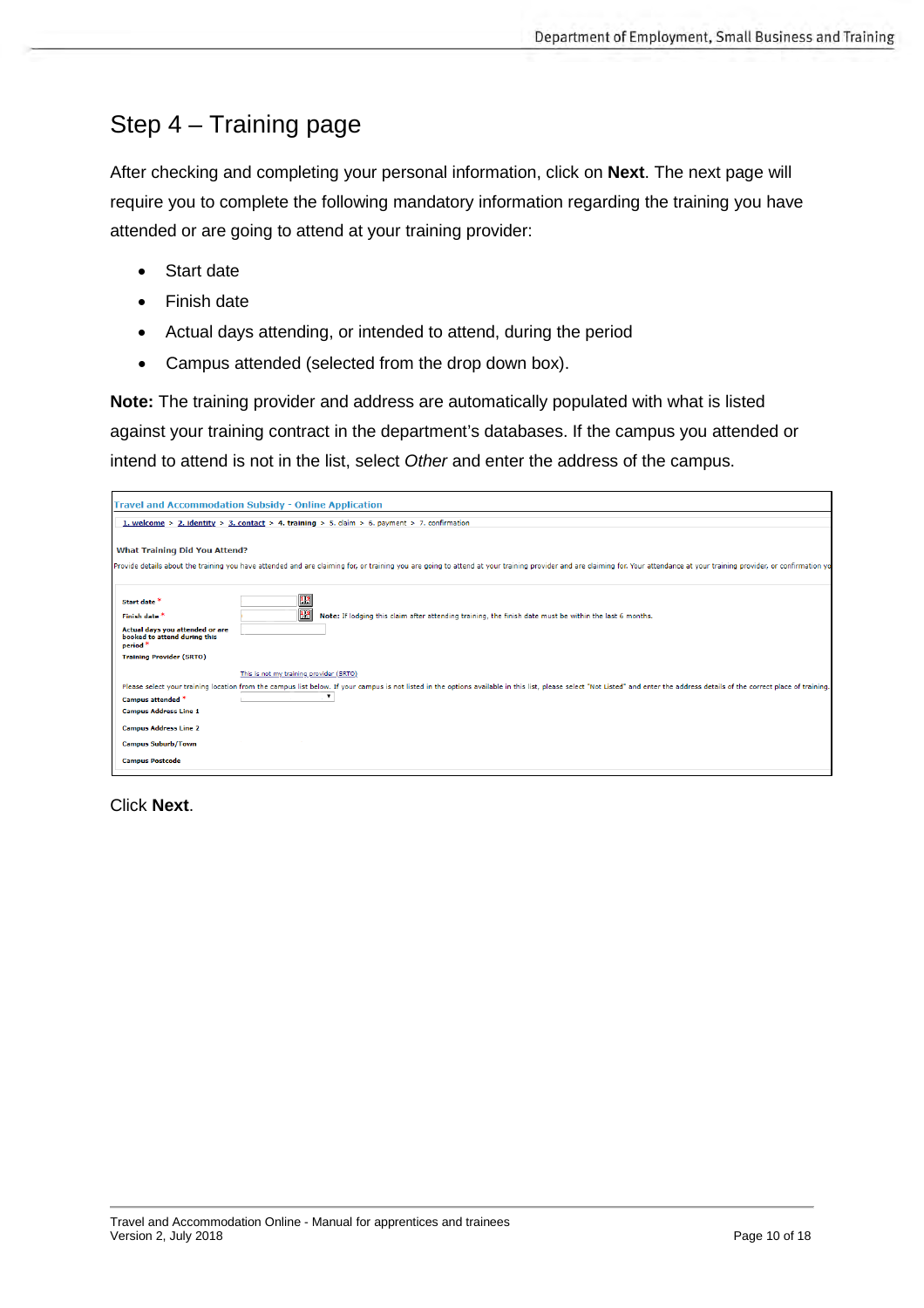## <span id="page-9-0"></span>Step 4 – Training page

After checking and completing your personal information, click on **Next**. The next page will require you to complete the following mandatory information regarding the training you have attended or are going to attend at your training provider:

- Start date
- Finish date
- Actual days attending, or intended to attend, during the period
- Campus attended (selected from the drop down box).

**Note:** The training provider and address are automatically populated with what is listed against your training contract in the department's databases. If the campus you attended or intend to attend is not in the list, select *Other* and enter the address of the campus.

|                                                                                                                                    | <b>Travel and Accommodation Subsidy - Online Application</b>                                                                                                                                                                                                                              |
|------------------------------------------------------------------------------------------------------------------------------------|-------------------------------------------------------------------------------------------------------------------------------------------------------------------------------------------------------------------------------------------------------------------------------------------|
|                                                                                                                                    | 1. welcome > 2. identity > 3. contact > 4. training > 5. claim > 6. payment > 7. confirmation                                                                                                                                                                                             |
| <b>What Training Did You Attend?</b>                                                                                               | Provide details about the training you have attended and are claiming for, or training you are going to attend at your training provider and are claiming for. Your attendance at your training provider, or confirmation yo                                                              |
| Start date <sup>*</sup><br>Finish date *<br>Actual days you attended or are<br>booked to attend during this<br>period <sup>*</sup> | $\mathbb{E}$<br>13<br>Note: If lodging this claim after attending training, the finish date must be within the last 6 months.                                                                                                                                                             |
| <b>Training Provider (SRTO)</b><br>Campus attended *<br><b>Campus Address Line 1</b><br><b>Campus Address Line 2</b>               | This is not my training provider (SRTO)<br>Please select your training location from the campus list below. If your campus is not listed in the options available in this list, please select "Not Listed" and enter the address details of the correct place of training<br>$\mathbf{v}$ |
| <b>Campus Suburb/Town</b><br><b>Campus Postcode</b>                                                                                |                                                                                                                                                                                                                                                                                           |

Click **Next**.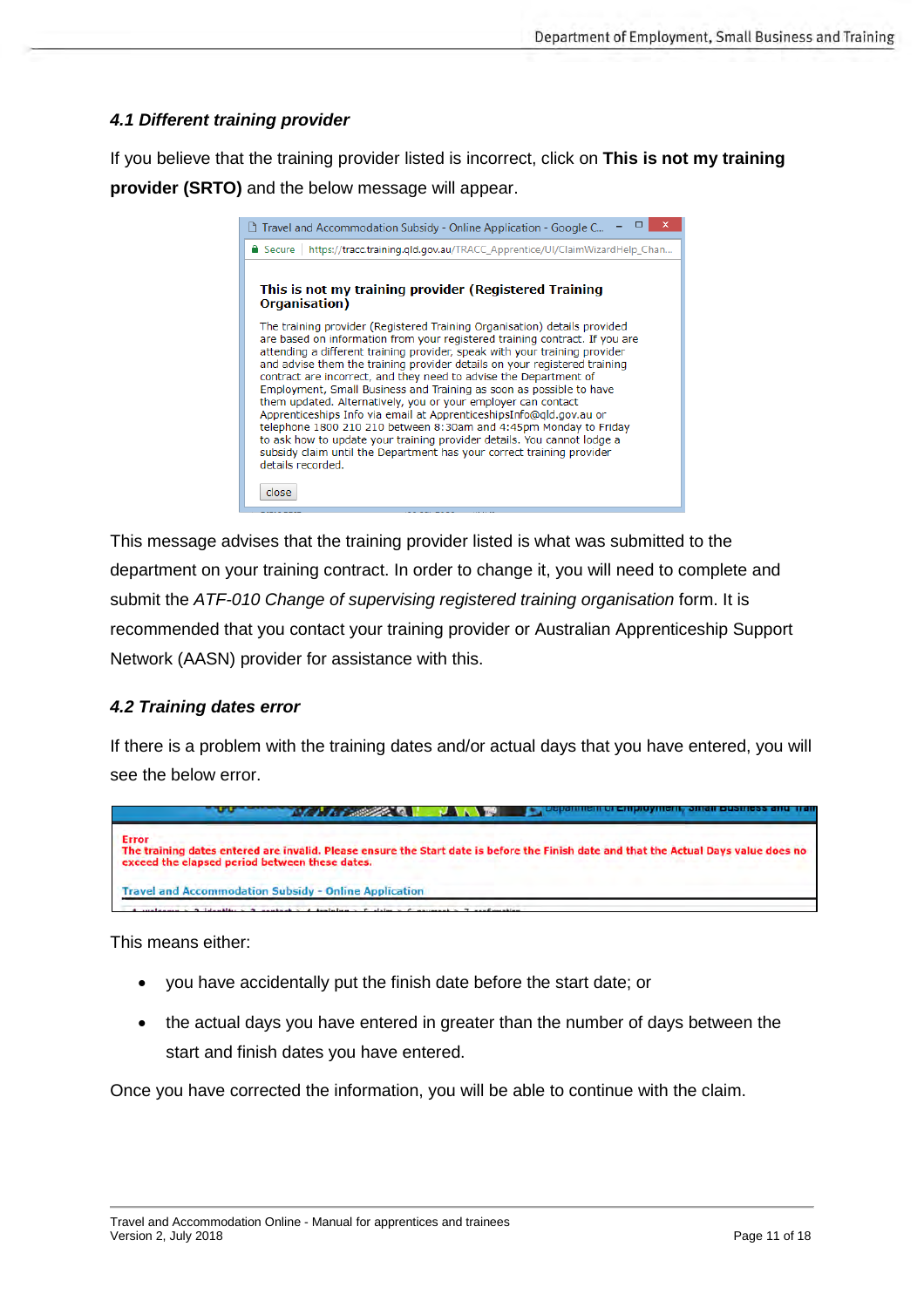#### <span id="page-10-0"></span>*4.1 Different training provider*

If you believe that the training provider listed is incorrect, click on **This is not my training provider (SRTO)** and the below message will appear.

This message advises that the training provider listed is what was submitted to the department on your training contract. In order to change it, you will need to complete and submit the *ATF-010 Change of supervising registered training organisation* form. It is recommended that you contact your training provider or Australian Apprenticeship Support Network (AASN) provider for assistance with this.

#### <span id="page-10-1"></span>*4.2 Training dates error*

If there is a problem with the training dates and/or actual days that you have entered, you will see the below error.

|              | <b>MARIAN AREA DE LA VIA DE LA VIA DE LA VIA DE LA VIA DE LA VIA DE LA VIA DE LA VIA DE LA VIA DE LA VIA DE LA VI</b>                                                                   |
|--------------|-----------------------------------------------------------------------------------------------------------------------------------------------------------------------------------------|
| <b>Error</b> | The training dates entered are invalid. Please ensure the Start date is before the Finish date and that the Actual Days value does no<br>exceed the elapsed period between these dates. |
|              | <b>Travel and Accommodation Subsidy - Online Application</b>                                                                                                                            |
|              | welcome $>$ 2 identity $>$ 3 contact $>$ 4 training $>$ 5 claim $>$ 6 nayment $>$ 7 confirmation                                                                                        |

This means either:

- you have accidentally put the finish date before the start date; or
- the actual days you have entered in greater than the number of days between the start and finish dates you have entered.

Once you have corrected the information, you will be able to continue with the claim.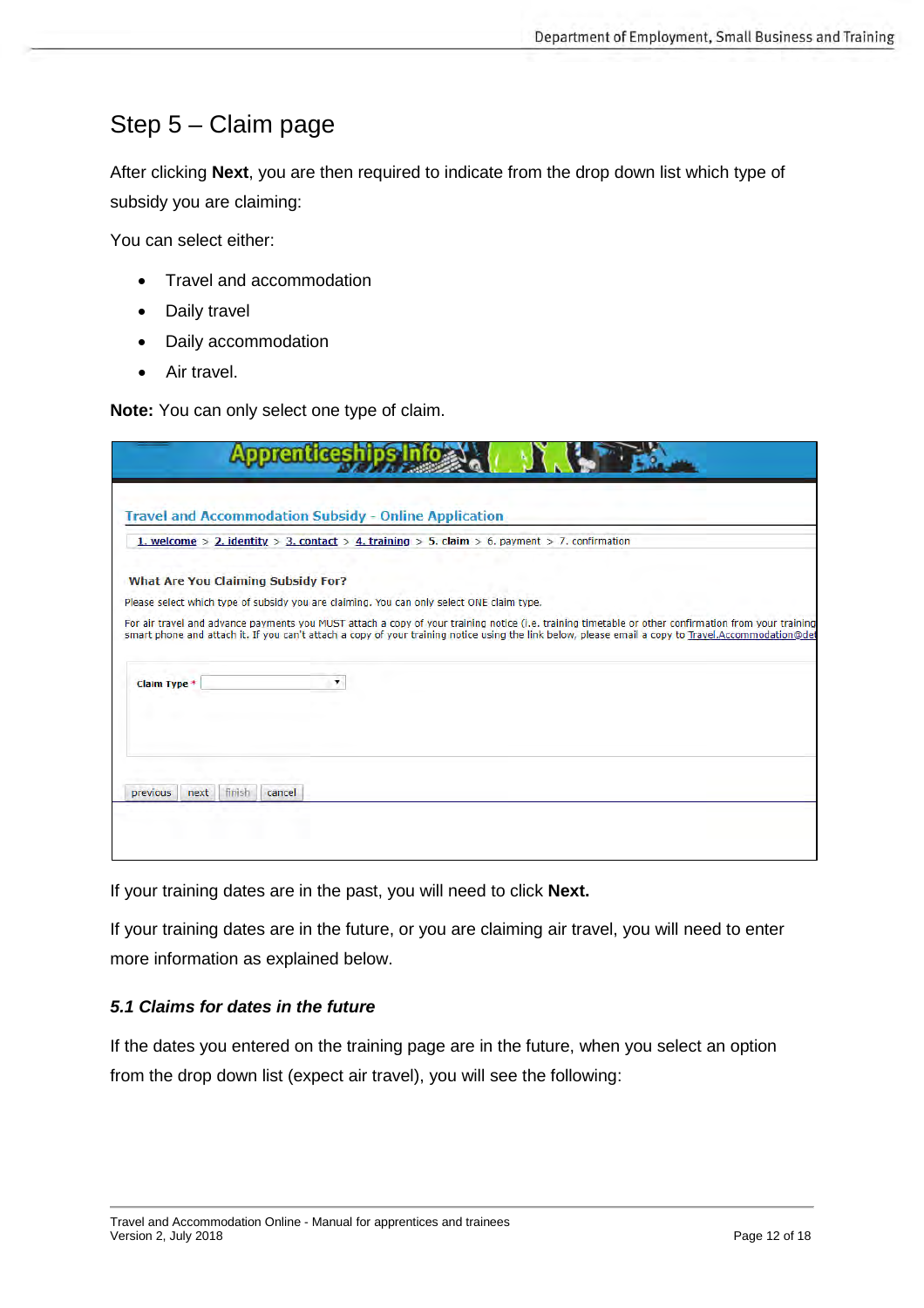## <span id="page-11-0"></span>Step 5 – Claim page

After clicking **Next**, you are then required to indicate from the drop down list which type of subsidy you are claiming:

You can select either:

- Travel and accommodation
- Daily travel
- Daily accommodation
- Air travel.

**Note:** You can only select one type of claim.

|                                    | <b>Travel and Accommodation Subsidy - Online Application</b>                                                                                                                                                                                                                                                |
|------------------------------------|-------------------------------------------------------------------------------------------------------------------------------------------------------------------------------------------------------------------------------------------------------------------------------------------------------------|
|                                    | 1. welcome > 2. identity > 3. contact > 4. training > 5. claim > 6. payment > 7. confirmation                                                                                                                                                                                                               |
| What Are You Claiming Subsidy For? |                                                                                                                                                                                                                                                                                                             |
|                                    | Please select which type of subsidy you are claiming. You can only select ONE claim type.                                                                                                                                                                                                                   |
|                                    | For air travel and advance payments you MUST attach a copy of your training notice (i.e. training timetable or other confirmation from your training<br>smart phone and attach it. If you can't attach a copy of your training notice using the link below, please email a copy to Travel.Accommodation@det |
| Claim Type *                       |                                                                                                                                                                                                                                                                                                             |
|                                    |                                                                                                                                                                                                                                                                                                             |

If your training dates are in the past, you will need to click **Next.**

If your training dates are in the future, or you are claiming air travel, you will need to enter more information as explained below.

#### <span id="page-11-1"></span>*5.1 Claims for dates in the future*

If the dates you entered on the training page are in the future, when you select an option from the drop down list (expect air travel), you will see the following: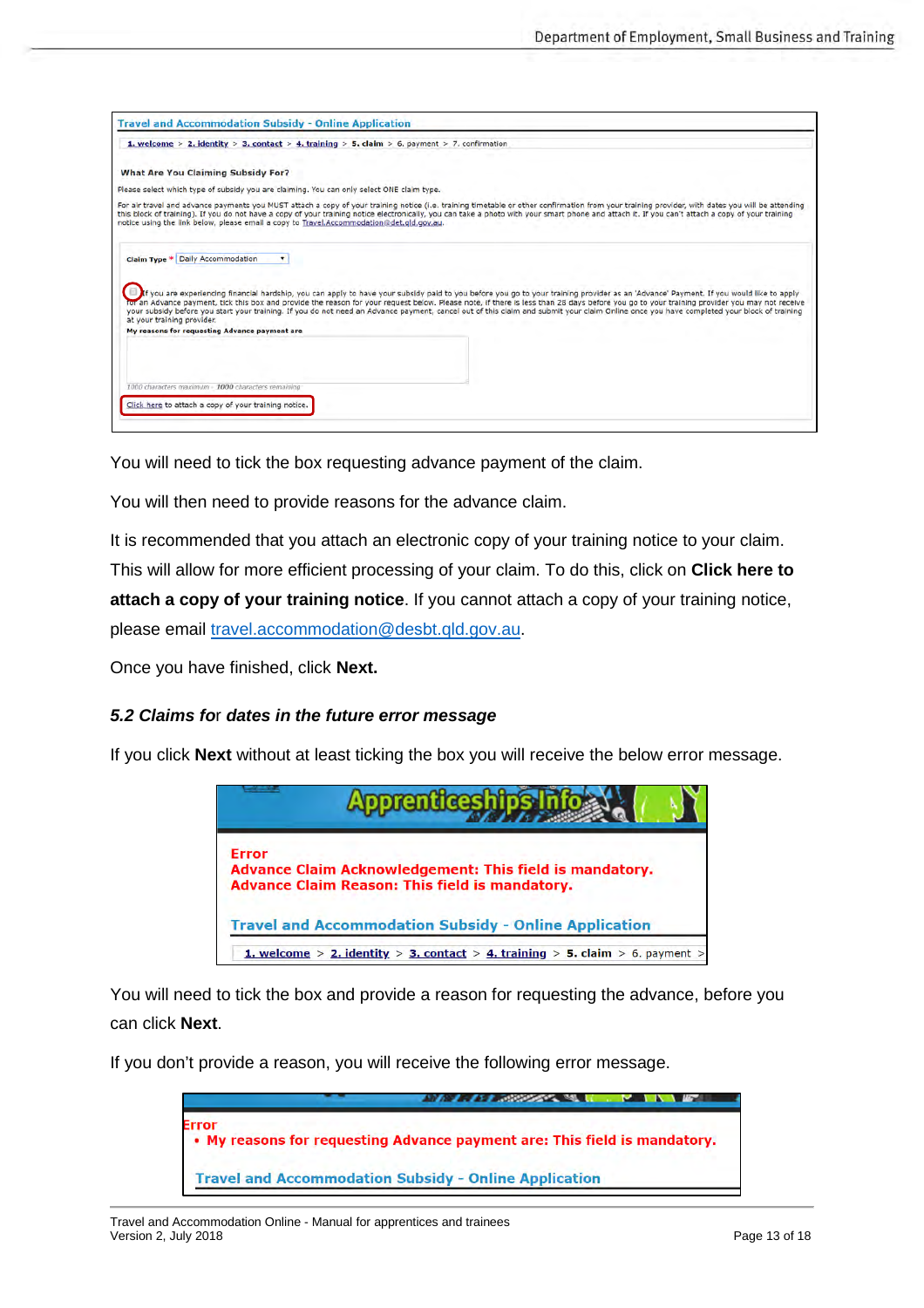| <b>What Are You Claiming Subsidy For?</b><br>Please select which type of subsidy you are claiming. You can only select ONE claim type.<br>For air travel and advance payments you MUST attach a copy of your training notice (i.e. training timetable or other confirmation from your training provider, with dates you will be attending<br>this block of training). If you do not have a copy of your training notice electronically, you can take a photo with your smart phone and attach it. If you can't attach a copy of your training<br>notice using the link below, please email a copy to Travel.Accommodation@det.gld.gov.au.<br>Claim Type * Daily Accommodation<br>$\mathbf{r}$<br>If you are experiencing financial hardship, you can apply to have your subsidy paid to you before you go to your training provider as an 'Advance' Payment. If you would like to apply<br>for an Advance payment, tick this box and provide the reason for your request below. Please note, if there is less than 28 days before you go to your training provider you may not receive<br>your subsidy before you start your training. If you do not need an Advance payment, cancel out of this claim and submit your claim Online once you have completed your block of training<br>at your training provider.<br>My reasons for requesting Advance payment are | 1. welcome > 2. identity > 3. contact > 4. training > 5. claim > 6. payment > 7. confirmation |
|-------------------------------------------------------------------------------------------------------------------------------------------------------------------------------------------------------------------------------------------------------------------------------------------------------------------------------------------------------------------------------------------------------------------------------------------------------------------------------------------------------------------------------------------------------------------------------------------------------------------------------------------------------------------------------------------------------------------------------------------------------------------------------------------------------------------------------------------------------------------------------------------------------------------------------------------------------------------------------------------------------------------------------------------------------------------------------------------------------------------------------------------------------------------------------------------------------------------------------------------------------------------------------------------------------------------------------------------------------------------|-----------------------------------------------------------------------------------------------|
|                                                                                                                                                                                                                                                                                                                                                                                                                                                                                                                                                                                                                                                                                                                                                                                                                                                                                                                                                                                                                                                                                                                                                                                                                                                                                                                                                                   |                                                                                               |
|                                                                                                                                                                                                                                                                                                                                                                                                                                                                                                                                                                                                                                                                                                                                                                                                                                                                                                                                                                                                                                                                                                                                                                                                                                                                                                                                                                   |                                                                                               |
|                                                                                                                                                                                                                                                                                                                                                                                                                                                                                                                                                                                                                                                                                                                                                                                                                                                                                                                                                                                                                                                                                                                                                                                                                                                                                                                                                                   |                                                                                               |
|                                                                                                                                                                                                                                                                                                                                                                                                                                                                                                                                                                                                                                                                                                                                                                                                                                                                                                                                                                                                                                                                                                                                                                                                                                                                                                                                                                   |                                                                                               |
|                                                                                                                                                                                                                                                                                                                                                                                                                                                                                                                                                                                                                                                                                                                                                                                                                                                                                                                                                                                                                                                                                                                                                                                                                                                                                                                                                                   |                                                                                               |
| 1000 characters maximum - 1000 characters remaining                                                                                                                                                                                                                                                                                                                                                                                                                                                                                                                                                                                                                                                                                                                                                                                                                                                                                                                                                                                                                                                                                                                                                                                                                                                                                                               |                                                                                               |

You will need to tick the box requesting advance payment of the claim.

You will then need to provide reasons for the advance claim.

It is recommended that you attach an electronic copy of your training notice to your claim. This will allow for more efficient processing of your claim. To do this, click on **Click here to attach a copy of your training notice**. If you cannot attach a copy of your training notice, please email [travel.accommodation@de](mailto:travel.accommodation@desbt.qld.gov.au)sbt.qld.gov.au.

Once you have finished, click **Next.**

#### <span id="page-12-0"></span>*5.2 Claims fo*r *dates in the future error message*

If you click **Next** without at least ticking the box you will receive the below error message.



You will need to tick the box and provide a reason for requesting the advance, before you can click **Next**.

If you don't provide a reason, you will receive the following error message.

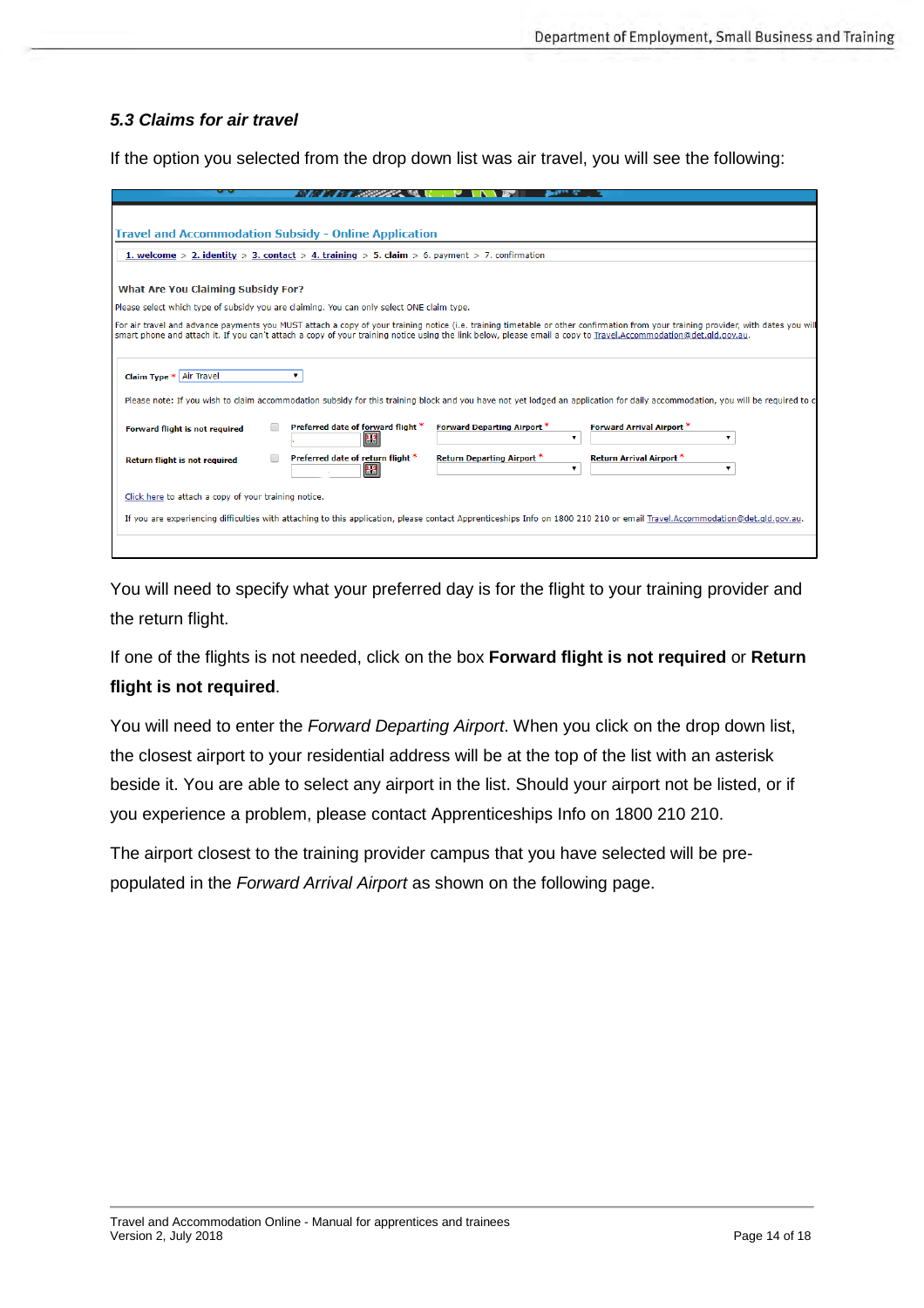#### <span id="page-13-0"></span>*5.3 Claims for air travel*

If the option you selected from the drop down list was air travel, you will see the following:

| <b>Travel and Accommodation Subsidy - Online Application</b>                                                                                                                                                                                                                                                                                          |                                    |                                 |
|-------------------------------------------------------------------------------------------------------------------------------------------------------------------------------------------------------------------------------------------------------------------------------------------------------------------------------------------------------|------------------------------------|---------------------------------|
| 1. welcome > 2. identity > 3. contact > 4. training > 5. claim > 6. payment > 7. confirmation                                                                                                                                                                                                                                                         |                                    |                                 |
|                                                                                                                                                                                                                                                                                                                                                       |                                    |                                 |
| <b>What Are You Claiming Subsidy For?</b>                                                                                                                                                                                                                                                                                                             |                                    |                                 |
|                                                                                                                                                                                                                                                                                                                                                       |                                    |                                 |
| Please select which type of subsidy you are claiming. You can only select ONE claim type.                                                                                                                                                                                                                                                             |                                    |                                 |
| For air travel and advance payments you MUST attach a copy of your training notice (i.e. training timetable or other confirmation from your training provider, with dates you will<br>smart phone and attach it. If you can't attach a copy of your training notice using the link below, please email a copy to Travel.Accommodation@det.gld.gov.au. |                                    |                                 |
|                                                                                                                                                                                                                                                                                                                                                       |                                    |                                 |
|                                                                                                                                                                                                                                                                                                                                                       |                                    |                                 |
| Claim Type * Air Travel<br>7                                                                                                                                                                                                                                                                                                                          |                                    |                                 |
| Please note: If you wish to claim accommodation subsidy for this training block and you have not yet lodged an application for daily accommodation, you will be required to co                                                                                                                                                                        |                                    |                                 |
|                                                                                                                                                                                                                                                                                                                                                       |                                    |                                 |
| Preferred date of forward flight *<br>Forward flight is not required                                                                                                                                                                                                                                                                                  | <b>Forward Departing Airport *</b> | Forward Arrival Airport *       |
| 12                                                                                                                                                                                                                                                                                                                                                    | $\mathbf{v}$                       |                                 |
| Preferred date of return flight *<br>Return flight is not required                                                                                                                                                                                                                                                                                    | <b>Return Departing Airport *</b>  | <b>Return Arrival Airport *</b> |
|                                                                                                                                                                                                                                                                                                                                                       |                                    |                                 |
| Click here to attach a copy of your training notice.                                                                                                                                                                                                                                                                                                  |                                    |                                 |
|                                                                                                                                                                                                                                                                                                                                                       |                                    |                                 |
| If you are experiencing difficulties with attaching to this application, please contact Apprenticeships Info on 1800 210 210 or email Travel.Accommodation@det.gld.gov.au.                                                                                                                                                                            |                                    |                                 |
|                                                                                                                                                                                                                                                                                                                                                       |                                    |                                 |
|                                                                                                                                                                                                                                                                                                                                                       |                                    |                                 |

You will need to specify what your preferred day is for the flight to your training provider and the return flight.

If one of the flights is not needed, click on the box **Forward flight is not required** or **Return flight is not required**.

You will need to enter the *Forward Departing Airport*. When you click on the drop down list, the closest airport to your residential address will be at the top of the list with an asterisk beside it. You are able to select any airport in the list. Should your airport not be listed, or if you experience a problem, please contact Apprenticeships Info on 1800 210 210.

The airport closest to the training provider campus that you have selected will be prepopulated in the *Forward Arrival Airport* as shown on the following page.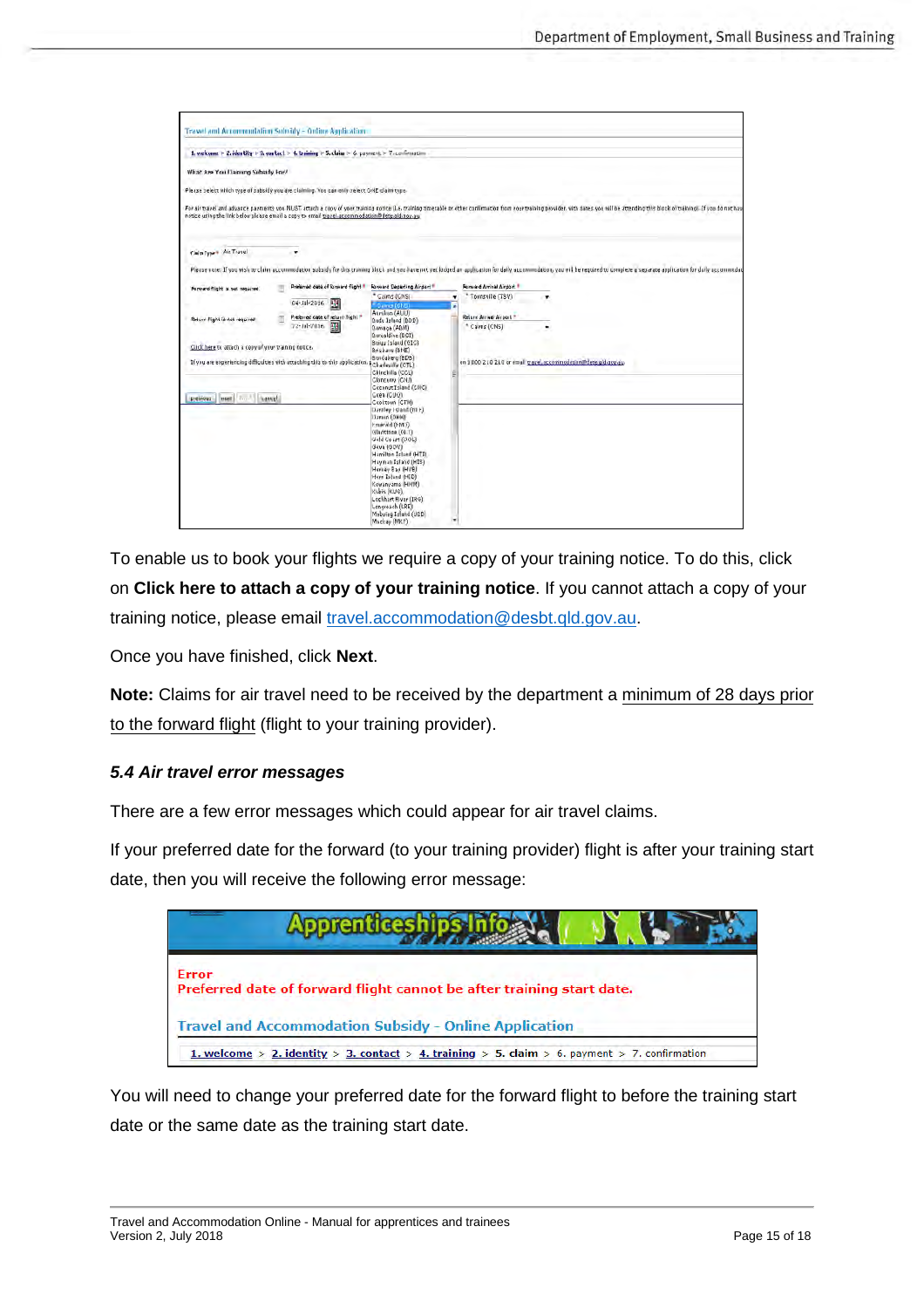|                                                      | 1. welcome > 2. identity > 3. contact > 4. training > 5. claim > 6. payment > 7. confirmation  |                                              |                           |                                                                                                                                                                                                                                |
|------------------------------------------------------|------------------------------------------------------------------------------------------------|----------------------------------------------|---------------------------|--------------------------------------------------------------------------------------------------------------------------------------------------------------------------------------------------------------------------------|
| What Are You Daimin's Wall on Y                      |                                                                                                |                                              |                           |                                                                                                                                                                                                                                |
|                                                      | Please select which type of subsidy you are claiming. You can only select GNE claim type.      |                                              |                           |                                                                                                                                                                                                                                |
|                                                      | notice using the link below please email a copy to email travel accommodation@dete.ald.gov.au. |                                              |                           | For air travel and advance payments you MUST actach a copy of your training notice (i.e. training timetable be other confirmation from your training provider, with dates you will be attending this block of training). If yo |
| Claim Type + Air Travel                              | ٠                                                                                              |                                              |                           |                                                                                                                                                                                                                                |
|                                                      |                                                                                                |                                              |                           | Please note: If you wish to claim accommodation subsidy for this training block and you have not yet lodged an application for daily accommodation, you will be required to complete a separate application for daily accommod |
| Forward flight is not required                       | Preferred data of formerd flight #                                                             | Forward Departing Airport                    | Ronward Arrival Airport   |                                                                                                                                                                                                                                |
|                                                      | 團<br>04-Jul-2016                                                                               | * Cairns (CNS)<br><b>DAmis (CHS)</b>         | * Townsville (TSV)<br>۰   | ۰                                                                                                                                                                                                                              |
|                                                      | Preferred date of return flight *                                                              | Aurukon (AUU)                                | Return Arrival Airport *  |                                                                                                                                                                                                                                |
| <b>Selum Right Gridt required</b>                    | 丽<br>22-Jul-2016                                                                               | Badu Jaland (BDD)<br>Bamaga (ABM)            | <sup>4</sup> Cairns (CNS) |                                                                                                                                                                                                                                |
|                                                      |                                                                                                | Barcaldine (BCI)<br>Builey Island (OIC)      |                           |                                                                                                                                                                                                                                |
| Click here to attach a copy of your training notice. |                                                                                                | Brisbane (BNE)<br>Bundaberg (BDB)            |                           |                                                                                                                                                                                                                                |
|                                                      | If you are experiencing difficulties with attaching this to this application.                  | Charlesiffe (CTL)<br>Chinchilla (CCL)        |                           | on 1800 210 210 or email travel.accommodation@dete.gld.gov.au.                                                                                                                                                                 |
|                                                      |                                                                                                | Cloncurry (CNJ)                              |                           |                                                                                                                                                                                                                                |
| mest in<br><b>Isamed</b><br>previous.                |                                                                                                | Coconut Island (CIVC)<br>Geen (CUQ)          |                           |                                                                                                                                                                                                                                |
|                                                      |                                                                                                | Cooktown (CTIV)<br>Damley Island (NIF)       |                           |                                                                                                                                                                                                                                |
|                                                      |                                                                                                | Darwin (DKW)<br>CIM-0 blevered               |                           |                                                                                                                                                                                                                                |
|                                                      |                                                                                                | Gladstone (GLT)                              |                           |                                                                                                                                                                                                                                |
|                                                      |                                                                                                | Gold Coast (OOL)<br>Gove (GOV)               |                           |                                                                                                                                                                                                                                |
|                                                      |                                                                                                | Hamilton Island (HTI)<br>Hayman Island (MIS) |                           |                                                                                                                                                                                                                                |
|                                                      |                                                                                                | Hervey Bay (HVB)<br>Horn Island (HID)        |                           |                                                                                                                                                                                                                                |
|                                                      |                                                                                                | Kewanyama (HWM)                              |                           |                                                                                                                                                                                                                                |
|                                                      |                                                                                                | Kubin (KUG)<br>Lockhart River (IRG)          |                           |                                                                                                                                                                                                                                |
|                                                      |                                                                                                | Longresch (LRE)<br>Mobuing Island (UDD)      |                           |                                                                                                                                                                                                                                |
|                                                      |                                                                                                | Mackey (MKY):                                |                           |                                                                                                                                                                                                                                |

To enable us to book your flights we require a copy of your training notice. To do this, click on **Click here to attach a copy of your training notice**. If you cannot attach a copy of your training notice, please email [travel.accommodation@de](mailto:travel.accommodation@desbt.qld.gov.au)sbt.qld.gov.au.

Once you have finished, click **Next**.

**Note:** Claims for air travel need to be received by the department a minimum of 28 days prior to the forward flight (flight to your training provider).

#### <span id="page-14-0"></span>*5.4 Air travel error messages*

There are a few error messages which could appear for air travel claims.

If your preferred date for the forward (to your training provider) flight is after your training start date, then you will receive the following error message:

| <b>Apprent.</b>                                                                               |
|-----------------------------------------------------------------------------------------------|
| <b>Error</b><br>Preferred date of forward flight cannot be after training start date.         |
| <b>Travel and Accommodation Subsidy - Online Application</b>                                  |
| 1. welcome > 2. identity > 3. contact > 4. training > 5. claim > 6. payment > 7. confirmation |

You will need to change your preferred date for the forward flight to before the training start date or the same date as the training start date.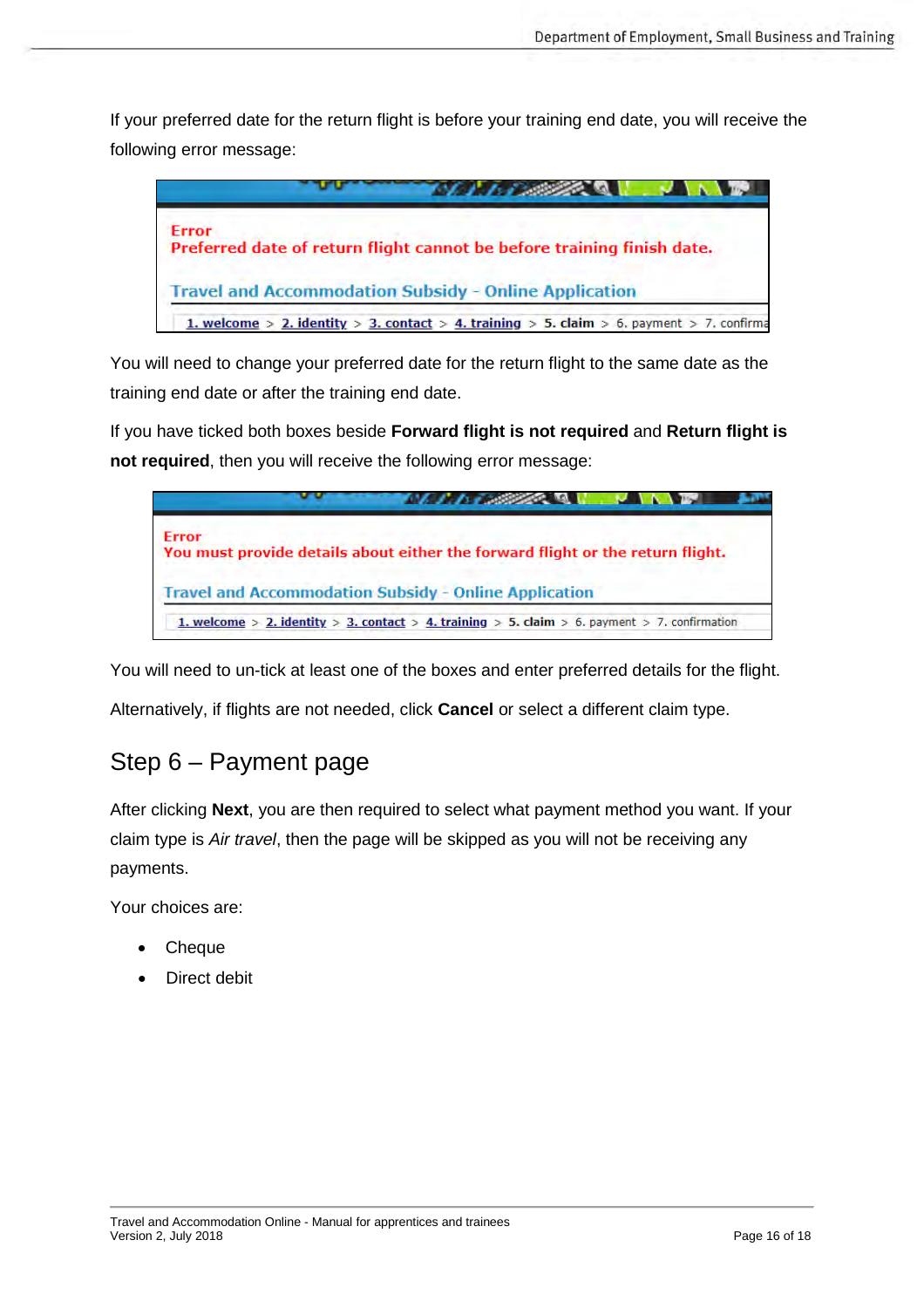If your preferred date for the return flight is before your training end date, you will receive the following error message:



You will need to change your preferred date for the return flight to the same date as the training end date or after the training end date.

If you have ticked both boxes beside **Forward flight is not required** and **Return flight is not required**, then you will receive the following error message:



You will need to un-tick at least one of the boxes and enter preferred details for the flight.

Alternatively, if flights are not needed, click **Cancel** or select a different claim type.

## <span id="page-15-0"></span>Step 6 – Payment page

After clicking **Next**, you are then required to select what payment method you want. If your claim type is *Air travel*, then the page will be skipped as you will not be receiving any payments.

Your choices are:

- **Cheque**
- Direct debit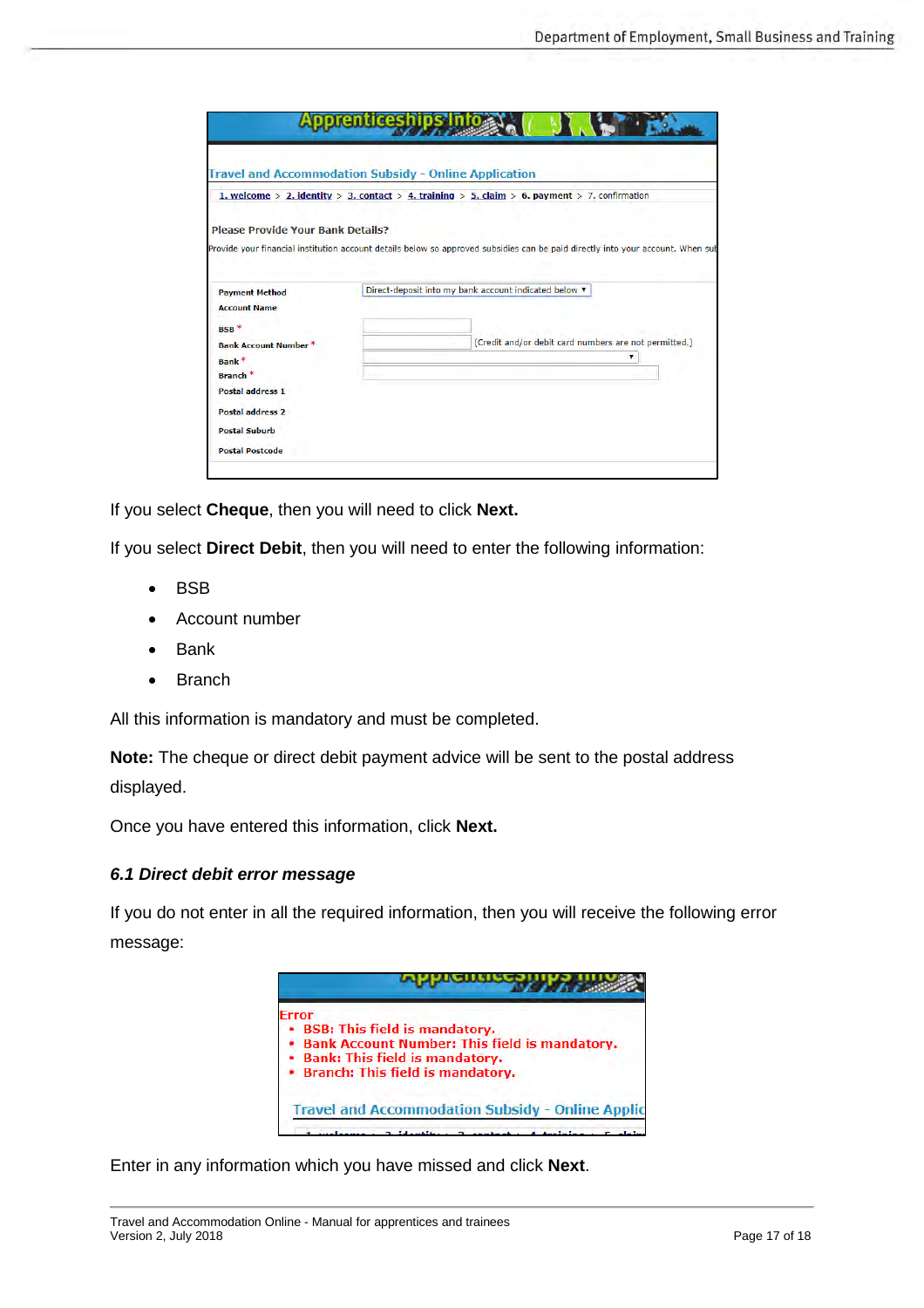|                                          | <b>Travel and Accommodation Subsidy - Online Application</b>                                                                    |
|------------------------------------------|---------------------------------------------------------------------------------------------------------------------------------|
|                                          | 1. welcome > 2. identity > 3. contact > 4. training > 5. claim > 6. payment > 7. confirmation                                   |
| <b>Please Provide Your Bank Details?</b> |                                                                                                                                 |
|                                          | Provide your financial institution account details below so approved subsidies can be paid directly into your account. When sub |
| <b>Payment Method</b>                    | Direct-deposit into my bank account indicated below v                                                                           |
|                                          |                                                                                                                                 |
| <b>Account Name</b>                      |                                                                                                                                 |
| BSB <sup>*</sup>                         |                                                                                                                                 |
| <b>Bank Account Number *</b>             | (Credit and/or debit card numbers are not permitted.)                                                                           |
| Bank <sup>*</sup>                        | ۷.                                                                                                                              |
| Branch <sup>*</sup>                      |                                                                                                                                 |
| <b>Postal address 1</b>                  |                                                                                                                                 |
| <b>Postal address 2</b>                  |                                                                                                                                 |
| <b>Postal Suburb</b>                     |                                                                                                                                 |

If you select **Cheque**, then you will need to click **Next.**

If you select **Direct Debit**, then you will need to enter the following information:

- BSB
- Account number
- **Bank**
- **Branch**

All this information is mandatory and must be completed.

**Note:** The cheque or direct debit payment advice will be sent to the postal address displayed.

Once you have entered this information, click **Next.**

#### <span id="page-16-0"></span>*6.1 Direct debit error message*

If you do not enter in all the required information, then you will receive the following error message:



Enter in any information which you have missed and click **Next**.